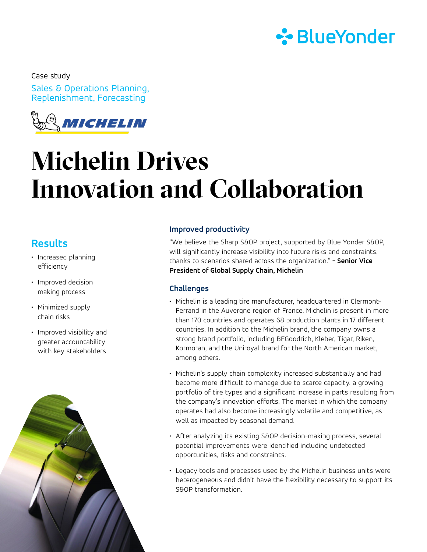

Sales & Operations Planning, Replenishment, Forecasting Case study



# **Michelin Drives Innovation and Collaboration**

### **Results**

- Increased planning efficiency
- Improved decision making process
- Minimized supply chain risks
- Improved visibility and greater accountability with key stakeholders



#### **Improved productivity**

"We believe the Sharp S&OP project, supported by Blue Yonder S&OP, will significantly increase visibility into future risks and constraints, thanks to scenarios shared across the organization." **- Senior Vice President of Global Supply Chain, Michelin** 

#### **Challenges**

- Michelin is a leading tire manufacturer, headquartered in Clermont-Ferrand in the Auvergne region of France. Michelin is present in more than 170 countries and operates 68 production plants in 17 different countries. In addition to the Michelin brand, the company owns a strong brand portfolio, including BFGoodrich, Kleber, Tigar, Riken, Kormoran, and the Uniroyal brand for the North American market, among others.
- Michelin's supply chain complexity increased substantially and had become more difficult to manage due to scarce capacity, a growing portfolio of tire types and a significant increase in parts resulting from the company's innovation efforts. The market in which the company operates had also become increasingly volatile and competitive, as well as impacted by seasonal demand.
- After analyzing its existing S&OP decision-making process, several potential improvements were identified including undetected opportunities, risks and constraints.
- Legacy tools and processes used by the Michelin business units were heterogeneous and didn't have the flexibility necessary to support its S&OP transformation.